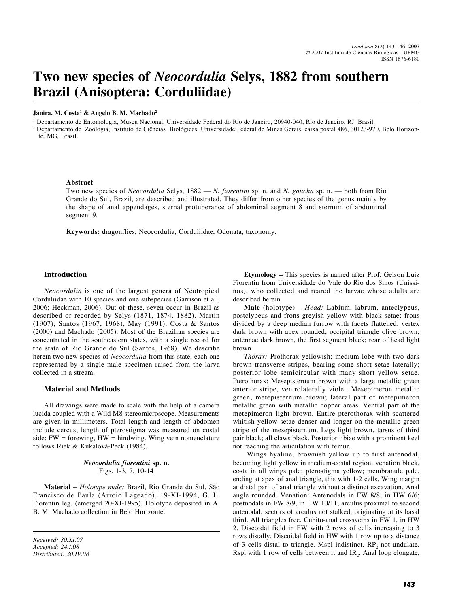# **Two new species of** *Neocordulia* **Selys, 1882 from southern Brazil (Anisoptera: Corduliidae)**

#### **Janira. M. Costa1 & Angelo B. M. Machado2**

1 Departamento de Entomologia, Museu Nacional, Universidade Federal do Rio de Janeiro, 20940-040, Rio de Janeiro, RJ, Brasil.

2 Departamento de Zoologia, Instituto de Ciências Biológicas, Universidade Federal de Minas Gerais, caixa postal 486, 30123-970, Belo Horizonte, MG, Brasil.

## **Abstract**

Two new species of *Neocordulia* Selys, 1882 — *N. fiorentini* sp. n. and *N. gaucha* sp. n. — both from Rio Grande do Sul, Brazil, are described and illustrated. They differ from other species of the genus mainly by the shape of anal appendages, sternal protuberance of abdominal segment 8 and sternum of abdominal segment 9.

**Keywords:** dragonflies, Neocordulia, Corduliidae, Odonata, taxonomy.

## **Introduction**

*Neocordulia* is one of the largest genera of Neotropical Corduliidae with 10 species and one subspecies (Garrison et al., 2006; Heckman, 2006). Out of these, seven occur in Brazil as described or recorded by Selys (1871, 1874, 1882), Martin (1907), Santos (1967, 1968), May (1991), Costa & Santos (2000) and Machado (2005). Most of the Brazilian species are concentrated in the southeastern states, with a single record for the state of Rio Grande do Sul (Santos, 1968). We describe herein two new species of *Neocordulia* from this state, each one represented by a single male specimen raised from the larva collected in a stream.

## **Material and Methods**

All drawings were made to scale with the help of a camera lucida coupled with a Wild M8 stereomicroscope. Measurements are given in millimeters. Total length and length of abdomen include cercus; length of pterostigma was measured on costal side; FW = forewing, HW = hindwing. Wing vein nomenclature follows Riek & Kukalová-Peck (1984).

> *Neocordulia fiorentini* **sp. n.** Figs. 1-3, 7, 10-14

**Material –** *Holotype male:* Brazil, Rio Grande do Sul, São Francisco de Paula (Arroio Lageado), 19-XI-1994, G. L. Fiorentin leg. (emerged 20-XI-1995). Holotype deposited in A. B. M. Machado collection in Belo Horizonte.

*Received: 30.XI.07 Accepted: 24.I.08 Distributed: 30.IV.08*

**Etymology –** This species is named after Prof. Gelson Luiz Fiorentin from Universidade do Vale do Rio dos Sinos (Unissinos), who collected and reared the larvae whose adults are described herein.

**Male** (holotype) **–** *Head:* Labium, labrum, anteclypeus, postclypeus and frons greyish yellow with black setae; frons divided by a deep median furrow with facets flattened; vertex dark brown with apex rounded; occipital triangle olive brown; antennae dark brown, the first segment black; rear of head light brown.

*Thorax:* Prothorax yellowish; medium lobe with two dark brown transverse stripes, bearing some short setae laterally; posterior lobe semicircular with many short yellow setae. Pterothorax: Mesepisternum brown with a large metallic green anterior stripe, ventrolaterally violet. Mesepimeron metallic green, metepisternum brown; lateral part of metepimeron metallic green with metallic copper areas. Ventral part of the metepimeron light brown. Entire pterothorax with scattered whitish yellow setae denser and longer on the metallic green stripe of the mesepisternum. Legs light brown, tarsus of third pair black; all claws black. Posterior tibiae with a prominent keel not reaching the articulation with femur.

 Wings hyaline, brownish yellow up to first antenodal, becoming light yellow in medium-costal region; venation black, costa in all wings pale; pterostigma yellow; membranule pale, ending at apex of anal triangle, this with 1-2 cells. Wing margin at distal part of anal triangle without a distinct excavation. Anal angle rounded. Venation: Antenodals in FW 8/8; in HW 6/6; postnodals in FW 8/9, in HW 10/11; arculus proximal to second antenodal; sectors of arculus not stalked, originating at its basal third. All triangles free. Cubito-anal crossveins in FW 1, in HW 2. Discoidal field in FW with 2 rows of cells increasing to 3 rows distally. Discoidal field in HW with 1 row up to a distance of 3 cells distal to triangle. Mspl indistinct.  $RP_2$  not undulate. Rspl with 1 row of cells between it and  $IR_2$ . Anal loop elongate,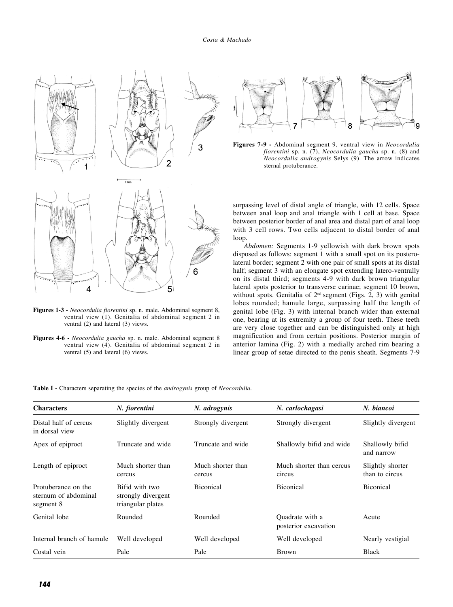3 2 1 6 5 4

**Figures 1-3 -** *Neocordulia fiorentini* sp. n. male. Abdominal segment 8, ventral view (1). Genitalia of abdominal segment 2 in ventral (2) and lateral (3) views.

**Figures 4-6 -** *Neocordulia gaucha* sp. n. male. Abdominal segment 8 ventral view (4). Genitalia of abdominal segment 2 in ventral (5) and lateral (6) views.



**Figures 7-9 -** Abdominal segment 9, ventral view in *Neocordulia fiorentini* sp. n. (7), *Neocordulia gaucha* sp. n. (8) and *Neocordulia androgynis* Selys (9). The arrow indicates sternal protuberance.

surpassing level of distal angle of triangle, with 12 cells. Space between anal loop and anal triangle with 1 cell at base. Space between posterior border of anal area and distal part of anal loop with 3 cell rows. Two cells adjacent to distal border of anal loop.

*Abdomen:* Segments 1-9 yellowish with dark brown spots disposed as follows: segment 1 with a small spot on its posterolateral border; segment 2 with one pair of small spots at its distal half; segment 3 with an elongate spot extending latero-ventrally on its distal third; segments 4-9 with dark brown triangular lateral spots posterior to transverse carinae; segment 10 brown, without spots. Genitalia of  $2^{nd}$  segment (Figs. 2, 3) with genital lobes rounded; hamule large, surpassing half the length of genital lobe (Fig. 3) with internal branch wider than external one, bearing at its extremity a group of four teeth. These teeth are very close together and can be distinguished only at high magnification and from certain positions. Posterior margin of anterior lamina (Fig. 2) with a medially arched rim bearing a linear group of setae directed to the penis sheath. Segments 7-9

|  |  |  |  | <b>Table I</b> - Characters separating the species of the <i>androgynis</i> group of <i>Neocordulia</i> . |
|--|--|--|--|-----------------------------------------------------------------------------------------------------------|
|--|--|--|--|-----------------------------------------------------------------------------------------------------------|

| <b>Characters</b>                                        | N. fiorentini                                             | N. adrogynis                | N. carlochagasi                         | N. biancoi                         |  |  |
|----------------------------------------------------------|-----------------------------------------------------------|-----------------------------|-----------------------------------------|------------------------------------|--|--|
| Distal half of cercus<br>in dorsal view                  | Slightly divergent                                        | Strongly divergent          | Strongly divergent                      | Slightly divergent                 |  |  |
| Apex of epiproct                                         | Truncate and wide                                         | Truncate and wide           | Shallowly bifid and wide                | Shallowly bifid<br>and narrow      |  |  |
| Length of epiproct                                       | Much shorter than<br>cercus                               | Much shorter than<br>cercus | Much shorter than cercus<br>circus      | Slightly shorter<br>than to circus |  |  |
| Protuberance on the<br>sternum of abdominal<br>segment 8 | Bifid with two<br>strongly divergent<br>triangular plates | <b>Biconical</b>            | <b>Biconical</b>                        | <b>Biconical</b>                   |  |  |
| Genital lobe                                             | Rounded                                                   | Rounded                     | Quadrate with a<br>posterior excavation | Acute                              |  |  |
| Internal branch of hamule                                | Well developed                                            | Well developed              | Well developed                          | Nearly vestigial                   |  |  |
| Costal vein                                              | Pale                                                      | Pale                        | <b>Brown</b>                            | <b>Black</b>                       |  |  |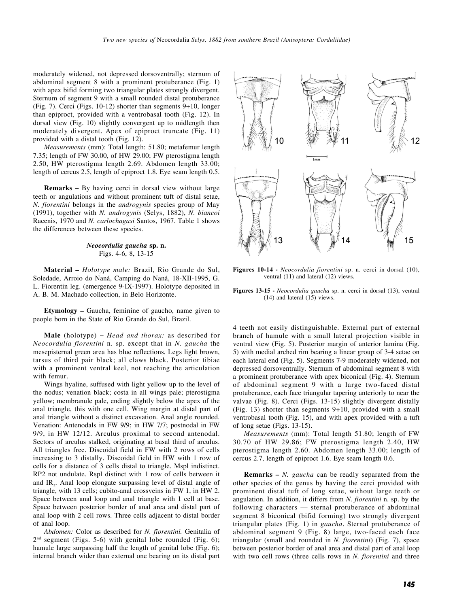moderately widened, not depressed dorsoventrally; sternum of abdominal segment 8 with a prominent protuberance (Fig. 1) with apex bifid forming two triangular plates strongly divergent. Sternum of segment 9 with a small rounded distal protuberance (Fig. 7). Cerci (Figs. 10-12) shorter than segments 9+10, longer than epiproct, provided with a ventrobasal tooth (Fig. 12). In dorsal view (Fig. 10) slightly convergent up to midlength then moderately divergent. Apex of epiproct truncate (Fig. 11) provided with a distal tooth (Fig. 12).

*Measurements* (mm): Total length: 51.80; metafemur length 7.35; length of FW 30.00, of HW 29.00; FW pterostigma length 2.50, HW pterostigma length 2.69. Abdomen length 33.00; length of cercus 2.5, length of epiproct 1.8. Eye seam length 0.5.

**Remarks –** By having cerci in dorsal view without large teeth or angulations and without prominent tuft of distal setae, *N. fiorentini* belongs in the *androgynis* species group of May (1991), together with *N. androgynis* (Selys, 1882), *N. biancoi* Racenis, 1970 and *N. carlochagasi* Santos, 1967. Table 1 shows the differences between these species.

## *Neocordulia gaucha* **sp. n.** Figs. 4-6, 8, 13-15

**Material –** *Holotype male:* Brazil, Rio Grande do Sul, Soledade, Arroio do Naná, Camping do Naná, 18-XII-1995, G. L. Fiorentin leg. (emergence 9-IX-1997). Holotype deposited in A. B. M. Machado collection, in Belo Horizonte.

**Etymology –** Gaucha, feminine of gaucho, name given to people born in the State of Rio Grande do Sul, Brazil.

**Male** (holotype) **–** *Head and thorax:* as described for *Neocordulia fiorentini* n. sp. except that in *N. gaucha* the mesepisternal green area has blue reflections*.* Legs light brown, tarsus of third pair black; all claws black. Posterior tibiae with a prominent ventral keel, not reaching the articulation with femur.

Wings hyaline, suffused with light yellow up to the level of the nodus; venation black; costa in all wings pale; pterostigma yellow; membranule pale, ending slightly below the apex of the anal triangle, this with one cell. Wing margin at distal part of anal triangle without a distinct excavation. Anal angle rounded. Venation: Antenodals in FW 9/9; in HW 7/7; postnodal in FW 9/9, in HW 12/12. Arculus proximal to second antenodal. Sectors of arculus stalked, originating at basal third of arculus. All triangles free. Discoidal field in FW with 2 rows of cells increasing to 3 distally. Discoidal field in HW with 1 row of cells for a distance of 3 cells distal to triangle. Mspl indistinct. RP2 not undulate. Rspl distinct with 1 row of cells between it and  $IR<sub>2</sub>$ . Anal loop elongate surpassing level of distal angle of triangle, with 13 cells; cubito-anal crossveins in FW 1, in HW 2. Space between anal loop and anal triangle with 1 cell at base. Space between posterior border of anal area and distal part of anal loop with 2 cell rows. Three cells adjacent to distal border of anal loop.

*Abdomen:* Color as described for *N. fiorentini.* Genitalia of  $2<sup>nd</sup>$  segment (Figs. 5-6) with genital lobe rounded (Fig. 6); hamule large surpassing half the length of genital lobe (Fig. 6); internal branch wider than external one bearing on its distal part



**Figures 10-14 -** *Neocordulia fiorentini* sp. n. cerci in dorsal (10), ventral (11) and lateral (12) views.

**Figures 13-15 -** *Neocordulia gaucha* sp. n. cerci in dorsal (13), ventral (14) and lateral (15) views.

4 teeth not easily distinguishable. External part of external branch of hamule with a small lateral projection visible in ventral view (Fig. 5). Posterior margin of anterior lamina (Fig. 5) with medial arched rim bearing a linear group of 3-4 setae on each lateral end (Fig. 5). Segments 7-9 moderately widened, not depressed dorsoventrally. Sternum of abdominal segment 8 with a prominent protuberance with apex biconical (Fig. 4). Sternum of abdominal segment 9 with a large two-faced distal protuberance, each face triangular tapering anteriorly to near the valvae (Fig. 8). Cerci (Figs. 13-15) slightly divergent distally (Fig. 13) shorter than segments 9+10, provided with a small ventrobasal tooth (Fig. 15), and with apex provided with a tuft of long setae (Figs. 13-15).

*Measurements* (mm): Total length 51.80; length of FW 30.70 of HW 29.86; FW pterostigma length 2.40, HW pterostigma length 2.60. Abdomen length 33.00; length of cercus 2.7, length of epiproct 1.6. Eye seam length 0.6.

**Remarks –** *N. gaucha* can be readly separated from the other species of the genus by having the cerci provided with prominent distal tuft of long setae, without large teeth or angulation. In addition, it differs from *N. fiorentini* n. sp. by the following characters — sternal protuberance of abdominal segment 8 biconical (bifid forming) two strongly divergent triangular plates (Fig. 1) in *gaucha*. Sternal protuberance of abdominal segment 9 (Fig. 8) large, two-faced each face triangular (small and rounded in *N. fiorentini*) (Fig. 7), space between posterior border of anal area and distal part of anal loop with two cell rows (three cells rows in *N. fiorentini* and three